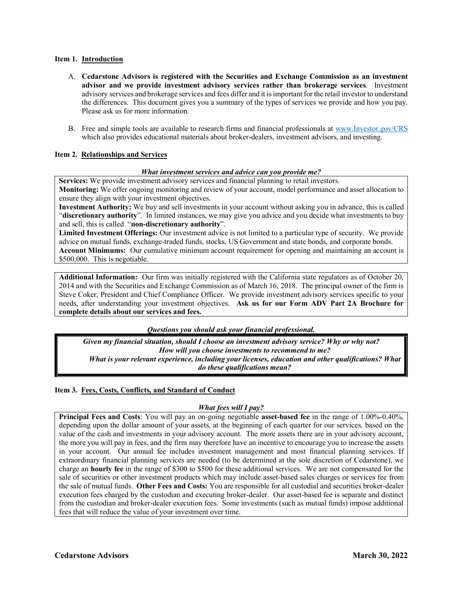### **Item 1. Introduction**

- A. **Cedarstone Advisors is registered with the Securities and Exchange Commission as an investment advisor and we provide investment advisory services rather than brokerage services**. Investment advisory services and brokerage services and fees differ and it is important for the retail investor to understand the differences. This document gives you a summary of the types of services we provide and how you pay. Please ask us for more information.
- B. Free and simple tools are available to research firms and financial professionals at www.Investor.gov/CRS which also provides educational materials about broker-dealers, investment advisors, and investing.

# **Item 2. Relationships and Services**

#### *What investment services and advice can you provide me?*

**Services:** We provide investment advisory services and financial planning to retail investors. **Monitoring:** We offer ongoing monitoring and review of your account, model performance and asset allocation to ensure they align with your investment objectives.

**Investment Authority:** We buy and sell investments in your account without asking you in advance, this is called "**discretionary authority**". In limited instances, we may give you advice and you decide what investments to buy and sell, this is called "**non**-**discretionary authority**".

**Limited Investment Offerings:** Our investment advice is not limited to a particular type of security. We provide advice on mutual funds, exchange-traded funds, stocks, US Government and state bonds, and corporate bonds. **Account Minimums:** Our cumulative minimum account requirement for opening and maintaining an account is \$500,000. This is negotiable.

**Additional Information:** Our firm was initially registered with the California state regulators as of October 20, 2014 and with the Securities and Exchange Commission as of March 16, 2018. The principal owner of the firm is Steve Coker, President and Chief Compliance Officer. We provide investment advisory services specific to your needs, after understanding your investment objectives. **Ask us for our Form ADV Part 2A Brochure for complete details about our services and fees.**

*Questions you should ask your financial professional.*

*Given my financial situation, should I choose an investment advisory service? Why or why not? How will you choose investments to recommend to me? What is your relevant experience, including your licenses, education and other qualifications? What do these qualifications mean?*

# **Item 3. Fees, Costs, Conflicts, and Standard of Conduct**

# *What fees will I pay?*

**Principal Fees and Costs**: You will pay an on-going negotiable **asset-based fee** in the range of 1.00%-0.40%, depending upon the dollar amount of your assets, at the beginning of each quarter for our services, based on the value of the cash and investments in your advisory account. The more assets there are in your advisory account, the more you will pay in fees, and the firm may therefore have an incentive to encourage you to increase the assets in your account. Our annual fee includes investment management and most financial planning services. If extraordinary financial planning services are needed (to be determined at the sole discretion of Cedarstone), we charge an **hourly fee** in the range of \$300 to \$500 for these additional services. We are not compensated for the sale of securities or other investment products which may include asset-based sales charges or services fee from the sale of mutual funds. **Other Fees and Costs:** You are responsible for all custodial and securities broker-dealer execution fees charged by the custodian and executing broker-dealer. Our asset-based fee is separate and distinct from the custodian and broker-dealer execution fees. Some investments (such as mutual funds) impose additional fees that will reduce the value of your investment over time.